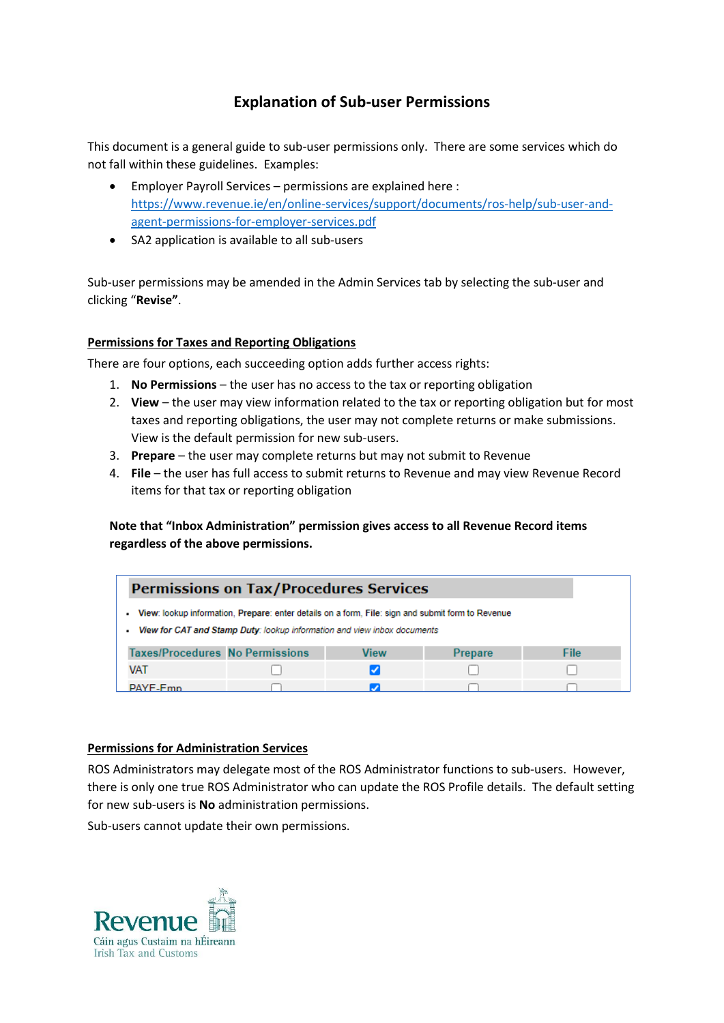# **Explanation of Sub-user Permissions**

This document is a general guide to sub-user permissions only. There are some services which do not fall within these guidelines. Examples:

- Employer Payroll Services permissions are explained here : [https://www.revenue.ie/en/online-services/support/documents/ros-help/sub-user-and](https://www.revenue.ie/en/online-services/support/documents/ros-help/sub-user-and-agent-permissions-for-employer-services.pdf)[agent-permissions-for-employer-services.pdf](https://www.revenue.ie/en/online-services/support/documents/ros-help/sub-user-and-agent-permissions-for-employer-services.pdf)
- SA2 application is available to all sub-users

Sub-user permissions may be amended in the Admin Services tab by selecting the sub-user and clicking "**Revise"**.

### **Permissions for Taxes and Reporting Obligations**

There are four options, each succeeding option adds further access rights:

- 1. **No Permissions** the user has no access to the tax or reporting obligation
- 2. **View** the user may view information related to the tax or reporting obligation but for most taxes and reporting obligations, the user may not complete returns or make submissions. View is the default permission for new sub-users.
- 3. **Prepare**  the user may complete returns but may not submit to Revenue
- 4. **File**  the user has full access to submit returns to Revenue and may view Revenue Record items for that tax or reporting obligation

**Note that "Inbox Administration" permission gives access to all Revenue Record items regardless of the above permissions.**

| <b>Permissions on Tax/Procedures Services</b>                                                                                                                                 |  |      |                |      |  |
|-------------------------------------------------------------------------------------------------------------------------------------------------------------------------------|--|------|----------------|------|--|
| View: lookup information, Prepare: enter details on a form, File: sign and submit form to Revenue<br>View for CAT and Stamp Duty: lookup information and view inbox documents |  |      |                |      |  |
| <b>Taxes/Procedures No Permissions</b>                                                                                                                                        |  | View | <b>Prepare</b> | File |  |
| VAT                                                                                                                                                                           |  |      |                |      |  |
| <b>PAYE-Emn</b>                                                                                                                                                               |  |      |                |      |  |

#### **Permissions for Administration Services**

ROS Administrators may delegate most of the ROS Administrator functions to sub-users. However, there is only one true ROS Administrator who can update the ROS Profile details. The default setting for new sub-users is **No** administration permissions.

Sub-users cannot update their own permissions.

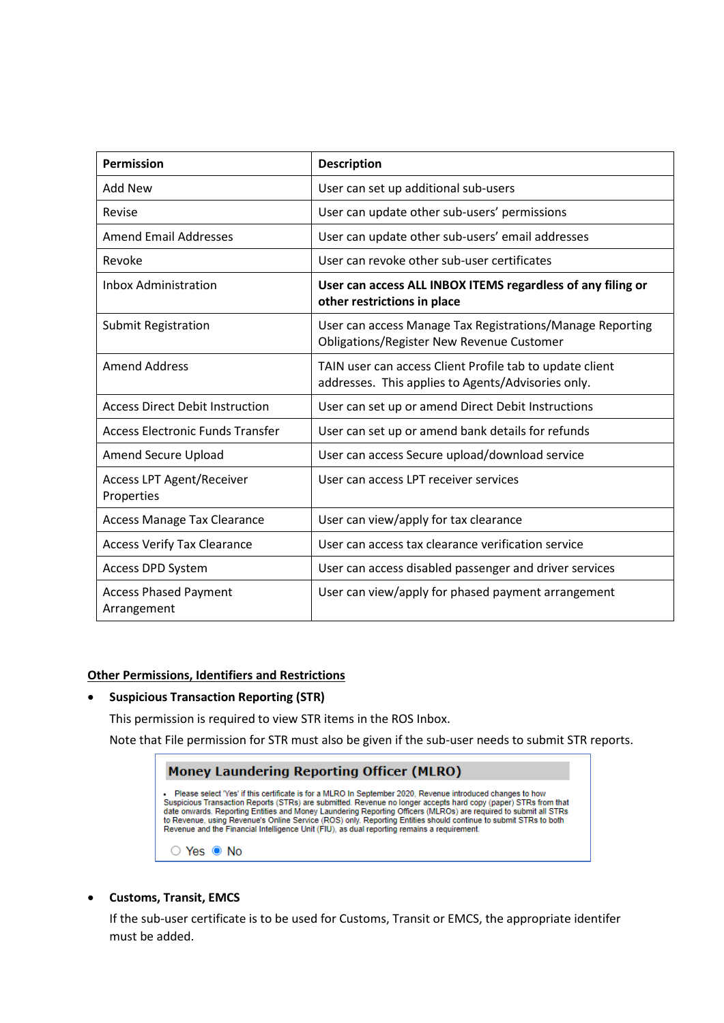| <b>Permission</b>                              | <b>Description</b>                                                                                             |  |  |
|------------------------------------------------|----------------------------------------------------------------------------------------------------------------|--|--|
| Add New                                        | User can set up additional sub-users                                                                           |  |  |
| Revise                                         | User can update other sub-users' permissions                                                                   |  |  |
| <b>Amend Email Addresses</b>                   | User can update other sub-users' email addresses                                                               |  |  |
| Revoke                                         | User can revoke other sub-user certificates                                                                    |  |  |
| <b>Inbox Administration</b>                    | User can access ALL INBOX ITEMS regardless of any filing or<br>other restrictions in place                     |  |  |
| <b>Submit Registration</b>                     | User can access Manage Tax Registrations/Manage Reporting<br>Obligations/Register New Revenue Customer         |  |  |
| <b>Amend Address</b>                           | TAIN user can access Client Profile tab to update client<br>addresses. This applies to Agents/Advisories only. |  |  |
| <b>Access Direct Debit Instruction</b>         | User can set up or amend Direct Debit Instructions                                                             |  |  |
| Access Electronic Funds Transfer               | User can set up or amend bank details for refunds                                                              |  |  |
| Amend Secure Upload                            | User can access Secure upload/download service                                                                 |  |  |
| <b>Access LPT Agent/Receiver</b><br>Properties | User can access LPT receiver services                                                                          |  |  |
| <b>Access Manage Tax Clearance</b>             | User can view/apply for tax clearance                                                                          |  |  |
| <b>Access Verify Tax Clearance</b>             | User can access tax clearance verification service                                                             |  |  |
| Access DPD System                              | User can access disabled passenger and driver services                                                         |  |  |
| <b>Access Phased Payment</b><br>Arrangement    | User can view/apply for phased payment arrangement                                                             |  |  |

## **Other Permissions, Identifiers and Restrictions**

#### • **Suspicious Transaction Reporting (STR)**

This permission is required to view STR items in the ROS Inbox.

Note that File permission for STR must also be given if the sub-user needs to submit STR reports.

| <b>Money Laundering Reporting Officer (MLRO)</b>                                                                                                                                                                                                                                                                                                                                                                                                                                                                                                                       |  |  |  |  |
|------------------------------------------------------------------------------------------------------------------------------------------------------------------------------------------------------------------------------------------------------------------------------------------------------------------------------------------------------------------------------------------------------------------------------------------------------------------------------------------------------------------------------------------------------------------------|--|--|--|--|
| . Please select "Yes' if this certificate is for a MLRO In September 2020. Revenue introduced changes to how<br>Suspicious Transaction Reports (STRs) are submitted. Revenue no longer accepts hard copy (paper) STRs from that<br>date onwards. Reporting Entities and Money Laundering Reporting Officers (MLROs) are required to submit all STRs<br>to Revenue, using Revenue's Online Service (ROS) only, Reporting Entities should continue to submit STRs to both<br>Revenue and the Financial Intelligence Unit (FIU), as dual reporting remains a requirement. |  |  |  |  |
| ⊙ Yes ● No                                                                                                                                                                                                                                                                                                                                                                                                                                                                                                                                                             |  |  |  |  |

## • **Customs, Transit, EMCS**

If the sub-user certificate is to be used for Customs, Transit or EMCS, the appropriate identifer must be added.